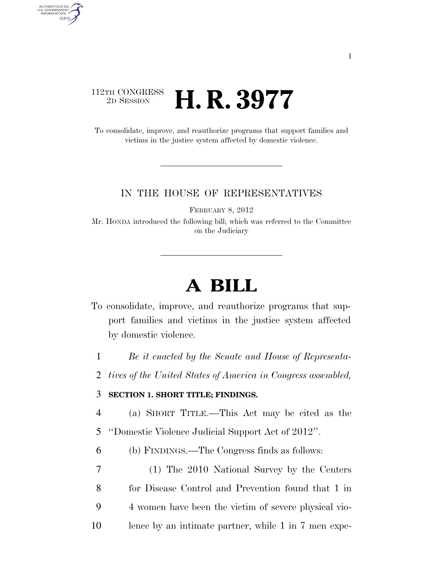### 112TH CONGRESS<br>2D SESSION 2D SESSION **H. R. 3977**

AUTHENTICATED<br>U.S. GOVERNMENT<br>INFORMATION **GPO** 

> To consolidate, improve, and reauthorize programs that support families and victims in the justice system affected by domestic violence.

#### IN THE HOUSE OF REPRESENTATIVES

FEBRUARY 8, 2012

Mr. HONDA introduced the following bill; which was referred to the Committee on the Judiciary

# **A BILL**

- To consolidate, improve, and reauthorize programs that support families and victims in the justice system affected by domestic violence.
	- 1 *Be it enacted by the Senate and House of Representa-*
- 2 *tives of the United States of America in Congress assembled,*

#### 3 **SECTION 1. SHORT TITLE; FINDINGS.**

- 4 (a) SHORT TITLE.—This Act may be cited as the
- 5 ''Domestic Violence Judicial Support Act of 2012''.
- 6 (b) FINDINGS.—The Congress finds as follows:
- 7 (1) The 2010 National Survey by the Centers 8 for Disease Control and Prevention found that 1 in 9 4 women have been the victim of severe physical vio-
- 10 lence by an intimate partner, while 1 in 7 men expe-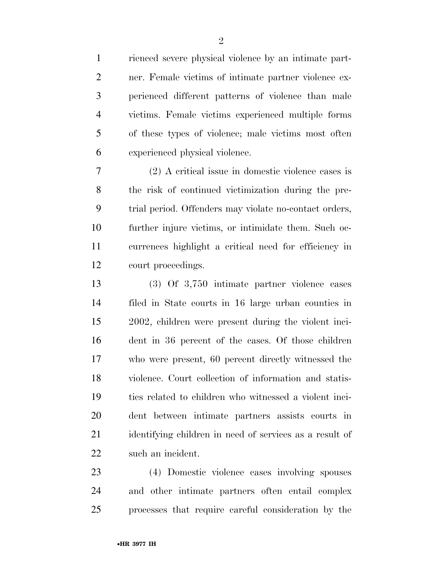rienced severe physical violence by an intimate part- ner. Female victims of intimate partner violence ex- perienced different patterns of violence than male victims. Female victims experienced multiple forms of these types of violence; male victims most often experienced physical violence.

 (2) A critical issue in domestic violence cases is the risk of continued victimization during the pre- trial period. Offenders may violate no-contact orders, further injure victims, or intimidate them. Such oc- currences highlight a critical need for efficiency in court proceedings.

 (3) Of 3,750 intimate partner violence cases filed in State courts in 16 large urban counties in 2002, children were present during the violent inci- dent in 36 percent of the cases. Of those children who were present, 60 percent directly witnessed the violence. Court collection of information and statis- tics related to children who witnessed a violent inci- dent between intimate partners assists courts in identifying children in need of services as a result of such an incident.

 (4) Domestic violence cases involving spouses and other intimate partners often entail complex processes that require careful consideration by the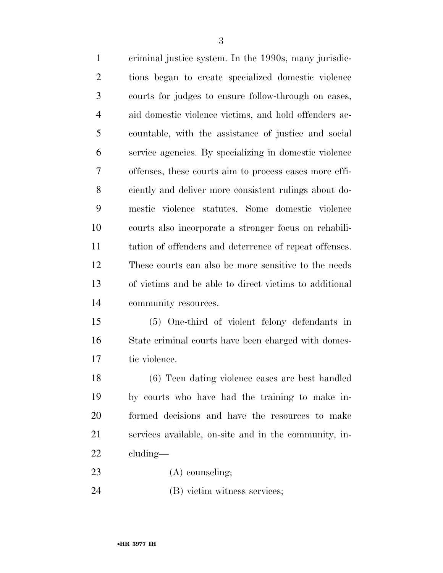criminal justice system. In the 1990s, many jurisdic- tions began to create specialized domestic violence courts for judges to ensure follow-through on cases, aid domestic violence victims, and hold offenders ac- countable, with the assistance of justice and social service agencies. By specializing in domestic violence offenses, these courts aim to process cases more effi- ciently and deliver more consistent rulings about do- mestic violence statutes. Some domestic violence courts also incorporate a stronger focus on rehabili- tation of offenders and deterrence of repeat offenses. These courts can also be more sensitive to the needs of victims and be able to direct victims to additional community resources.

 (5) One-third of violent felony defendants in State criminal courts have been charged with domes-tic violence.

 (6) Teen dating violence cases are best handled by courts who have had the training to make in- formed decisions and have the resources to make services available, on-site and in the community, in-cluding—

- 23 (A) counseling;
- (B) victim witness services;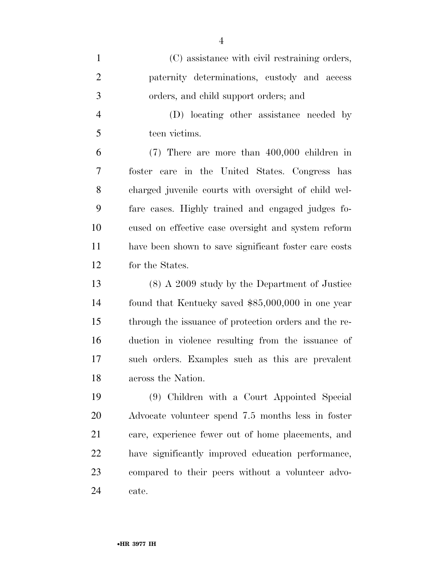| $\mathbf{1}$   | (C) assistance with civil restraining orders,         |
|----------------|-------------------------------------------------------|
| $\overline{2}$ | paternity determinations, custody and access          |
| 3              | orders, and child support orders; and                 |
| $\overline{4}$ | (D) locating other assistance needed by               |
| 5              | teen victims.                                         |
| 6              | $(7)$ There are more than 400,000 children in         |
| 7              | foster care in the United States. Congress has        |
| 8              | charged juvenile courts with oversight of child wel-  |
| 9              | fare cases. Highly trained and engaged judges fo-     |
| 10             | cused on effective case oversight and system reform   |
| 11             | have been shown to save significant foster care costs |
| 12             | for the States.                                       |
| 13             | $(8)$ A 2009 study by the Department of Justice       |
| 14             | found that Kentucky saved \$85,000,000 in one year    |
| 15             | through the issuance of protection orders and the re- |
| 16             | duction in violence resulting from the issuance of    |
| 17             | such orders. Examples such as this are prevalent      |
| 18             | across the Nation.                                    |
| 19             | (9) Children with a Court Appointed Special           |
| 20             | Advocate volunteer spend 7.5 months less in foster    |
| 21             | care, experience fewer out of home placements, and    |
| 22             | have significantly improved education performance,    |
| 23             | compared to their peers without a volunteer advo-     |

cate.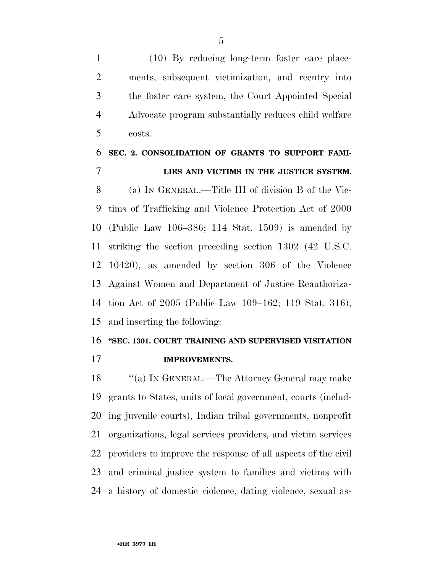(10) By reducing long-term foster care place- ments, subsequent victimization, and reentry into the foster care system, the Court Appointed Special Advocate program substantially reduces child welfare costs.

## **SEC. 2. CONSOLIDATION OF GRANTS TO SUPPORT FAMI-LIES AND VICTIMS IN THE JUSTICE SYSTEM.**

 (a) IN GENERAL.—Title III of division B of the Vic- tims of Trafficking and Violence Protection Act of 2000 (Public Law 106–386; 114 Stat. 1509) is amended by striking the section preceding section 1302 (42 U.S.C. 10420), as amended by section 306 of the Violence Against Women and Department of Justice Reauthoriza- tion Act of 2005 (Public Law 109–162; 119 Stat. 316), and inserting the following:

#### **''SEC. 1301. COURT TRAINING AND SUPERVISED VISITATION**

**IMPROVEMENTS.** 

18 "(a) IN GENERAL.—The Attorney General may make grants to States, units of local government, courts (includ- ing juvenile courts), Indian tribal governments, nonprofit organizations, legal services providers, and victim services providers to improve the response of all aspects of the civil and criminal justice system to families and victims with a history of domestic violence, dating violence, sexual as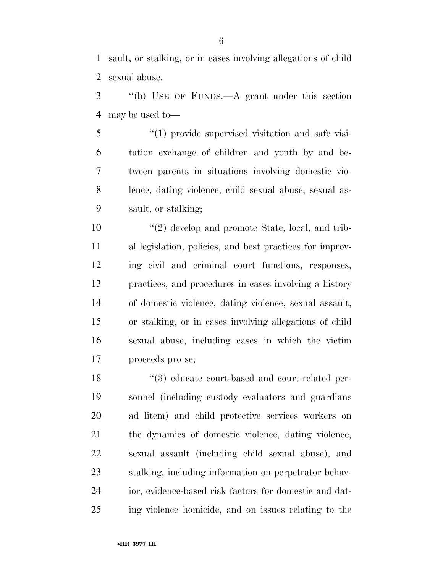sault, or stalking, or in cases involving allegations of child sexual abuse.

 ''(b) USE OF FUNDS.—A grant under this section may be used to—

5 "(1) provide supervised visitation and safe visi- tation exchange of children and youth by and be- tween parents in situations involving domestic vio- lence, dating violence, child sexual abuse, sexual as-sault, or stalking;

10 ''(2) develop and promote State, local, and trib- al legislation, policies, and best practices for improv- ing civil and criminal court functions, responses, practices, and procedures in cases involving a history of domestic violence, dating violence, sexual assault, or stalking, or in cases involving allegations of child sexual abuse, including cases in which the victim proceeds pro se;

18 ''(3) educate court-based and court-related per- sonnel (including custody evaluators and guardians ad litem) and child protective services workers on the dynamics of domestic violence, dating violence, sexual assault (including child sexual abuse), and stalking, including information on perpetrator behav- ior, evidence-based risk factors for domestic and dat-ing violence homicide, and on issues relating to the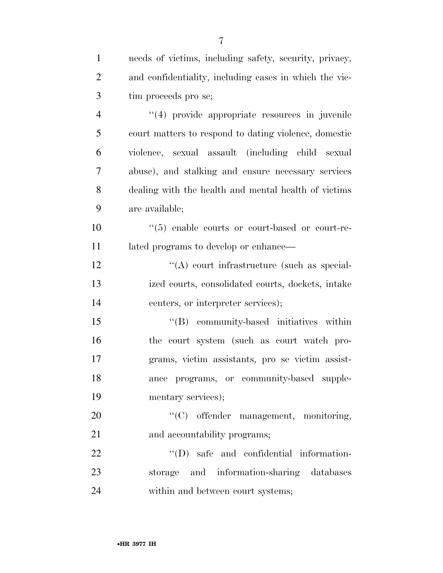| $\mathbf{1}$   | needs of victims, including safety, security, privacy,     |
|----------------|------------------------------------------------------------|
| $\overline{2}$ | and confidentiality, including cases in which the vic-     |
| 3              | tim proceeds pro se;                                       |
| $\overline{4}$ | "(4) provide appropriate resources in juvenile             |
| 5              | court matters to respond to dating violence, domestic      |
| 6              | violence, sexual assault (including child sexual           |
| 7              | abuse), and stalking and ensure necessary services         |
| 8              | dealing with the health and mental health of victims       |
| 9              | are available;                                             |
| 10             | $\cdot\cdot$ (5) enable courts or court-based or court-re- |
| 11             | lated programs to develop or enhance—                      |
| 12             | $\lq\lq$ court infrastructure (such as special-            |
| 13             | ized courts, consolidated courts, dockets, intake          |
| 14             | centers, or interpreter services);                         |
| 15             | "(B) community-based initiatives within                    |
| 16             | the court system (such as court watch pro-                 |
| 17             | grams, victim assistants, pro se victim assist-            |
| 18             | ance programs, or community-based supple-                  |
| 19             | mentary services);                                         |
| 20             | "(C) offender management, monitoring,                      |
| 21             | and accountability programs;                               |
| 22             | $\lq\lq$ (D) safe and confidential information-            |
| 23             | storage and information-sharing databases                  |
| 24             | within and between court systems;                          |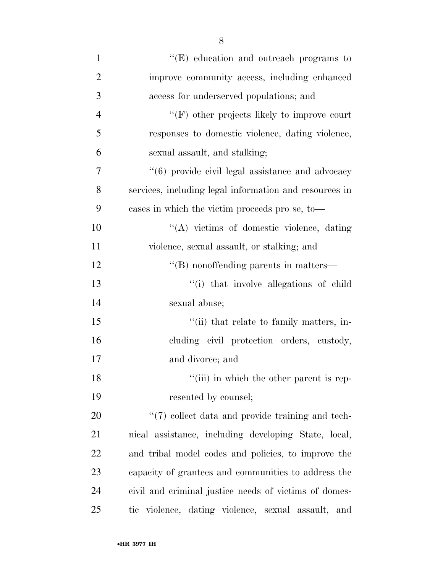| $\mathbf{1}$   | "(E) education and outreach programs to                |
|----------------|--------------------------------------------------------|
| $\overline{2}$ | improve community access, including enhanced           |
| 3              | access for underserved populations; and                |
| $\overline{4}$ | $\lq\lq(F)$ other projects likely to improve court     |
| 5              | responses to domestic violence, dating violence,       |
| 6              | sexual assault, and stalking;                          |
| 7              | "(6) provide civil legal assistance and advocacy       |
| 8              | services, including legal information and resources in |
| 9              | cases in which the victim proceeds pro se, to-         |
| 10             | $\lq\lq$ victims of domestic violence, dating          |
| 11             | violence, sexual assault, or stalking; and             |
| 12             | "(B) nonoffending parents in matters—                  |
| 13             | "(i) that involve allegations of child                 |
| 14             | sexual abuse;                                          |
| 15             | "(ii) that relate to family matters, in-               |
| 16             | cluding civil protection orders, custody,              |
| 17             | and divorce; and                                       |
| 18             | "(iii) in which the other parent is rep-               |
| 19             | resented by counsel;                                   |
| 20             | "(7) collect data and provide training and tech-       |
| 21             | nical assistance, including developing State, local,   |
| 22             | and tribal model codes and policies, to improve the    |
| 23             | capacity of grantees and communities to address the    |
| 24             | civil and criminal justice needs of victims of domes-  |
| 25             | tic violence, dating violence, sexual assault, and     |

8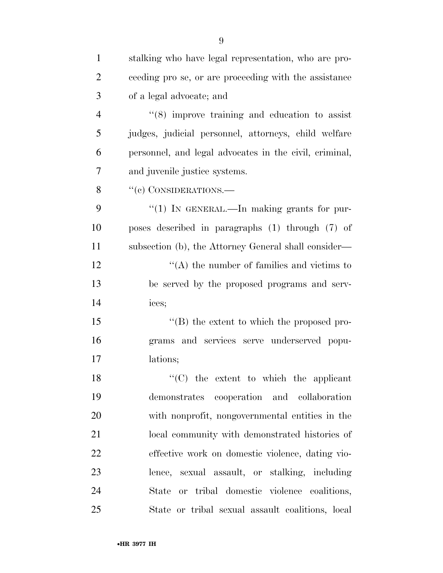| $\mathbf{1}$   | stalking who have legal representation, who are pro-   |
|----------------|--------------------------------------------------------|
| $\overline{2}$ | ceeding pro se, or are proceeding with the assistance  |
| 3              | of a legal advocate; and                               |
| $\overline{4}$ | $(8)$ improve training and education to assist         |
| 5              | judges, judicial personnel, attorneys, child welfare   |
| 6              | personnel, and legal advocates in the civil, criminal, |
| 7              | and juvenile justice systems.                          |
| 8              | $``(c)$ CONSIDERATIONS.—                               |
| 9              | " $(1)$ IN GENERAL.—In making grants for pur-          |
| 10             | poses described in paragraphs (1) through (7) of       |
| 11             | subsection (b), the Attorney General shall consider—   |
| 12             | $\lq\lq$ the number of families and victims to         |
| 13             | be served by the proposed programs and serv-           |
| 14             | ices;                                                  |
| 15             | "(B) the extent to which the proposed pro-             |
| 16             | grams and services serve underserved popu-             |
| 17             | lations;                                               |
| 18             | $\lq\lq$ (C) the extent to which the applicant         |
| 19             | cooperation and collaboration<br>demonstrates          |
| 20             | with nonprofit, nongovernmental entities in the        |
| 21             | local community with demonstrated histories of         |
| 22             | effective work on domestic violence, dating vio-       |
| 23             | lence, sexual assault, or stalking, including          |
| 24             | or tribal domestic violence coalitions,<br>State       |
| 25             | State or tribal sexual assault coalitions, local       |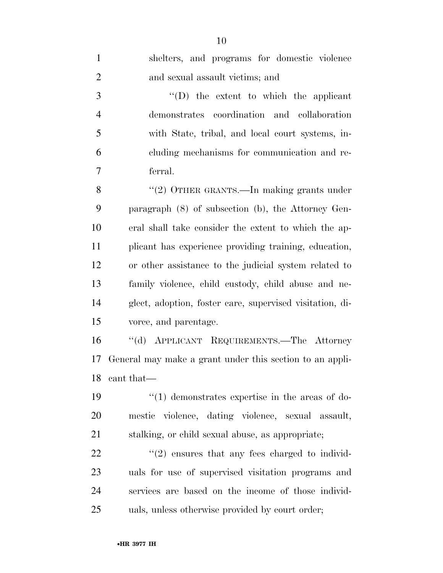| $\mathbf{1}$   | shelters, and programs for domestic violence             |
|----------------|----------------------------------------------------------|
| $\overline{2}$ | and sexual assault victims; and                          |
| 3              | $\lq\lq$ the extent to which the applicant               |
| $\overline{4}$ | demonstrates coordination and collaboration              |
| 5              | with State, tribal, and local court systems, in-         |
| 6              | cluding mechanisms for communication and re-             |
| 7              | ferral.                                                  |
| 8              | "(2) OTHER GRANTS.—In making grants under                |
| 9              | paragraph $(8)$ of subsection $(b)$ , the Attorney Gen-  |
| 10             | eral shall take consider the extent to which the ap-     |
| 11             | plicant has experience providing training, education,    |
| 12             | or other assistance to the judicial system related to    |
| 13             | family violence, child custody, child abuse and ne-      |
| 14             | glect, adoption, foster care, supervised visitation, di- |
| 15             | vorce, and parentage.                                    |
| 16             | "(d) APPLICANT REQUIREMENTS.—The Attorney                |
| 17             | General may make a grant under this section to an appli- |
| 18             | cant that—                                               |
| 19             | $\lq(1)$ demonstrates expertise in the areas of do-      |
| 20             | mestic violence, dating violence, sexual assault,        |
| 21             | stalking, or child sexual abuse, as appropriate;         |
| 22             | $\lq(2)$ ensures that any fees charged to individ-       |
| 23             | uals for use of supervised visitation programs and       |
| 24             | services are based on the income of those individ-       |
| 25             | uals, unless otherwise provided by court order;          |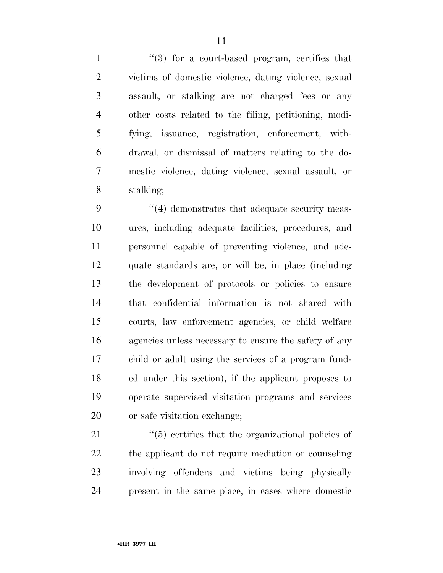1 ''(3) for a court-based program, certifies that victims of domestic violence, dating violence, sexual assault, or stalking are not charged fees or any other costs related to the filing, petitioning, modi- fying, issuance, registration, enforcement, with- drawal, or dismissal of matters relating to the do- mestic violence, dating violence, sexual assault, or stalking;

9 ''(4) demonstrates that adequate security meas- ures, including adequate facilities, procedures, and personnel capable of preventing violence, and ade- quate standards are, or will be, in place (including the development of protocols or policies to ensure that confidential information is not shared with courts, law enforcement agencies, or child welfare agencies unless necessary to ensure the safety of any child or adult using the services of a program fund- ed under this section), if the applicant proposes to operate supervised visitation programs and services or safe visitation exchange;

 $\frac{1}{2}$  (5) certifies that the organizational policies of the applicant do not require mediation or counseling involving offenders and victims being physically present in the same place, in cases where domestic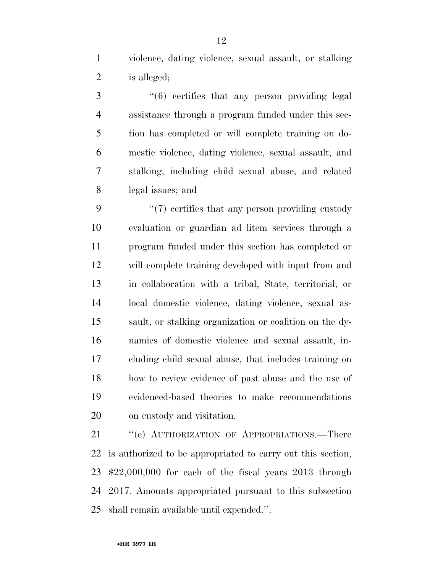violence, dating violence, sexual assault, or stalking is alleged;

3 "(6) certifies that any person providing legal assistance through a program funded under this sec- tion has completed or will complete training on do- mestic violence, dating violence, sexual assault, and stalking, including child sexual abuse, and related legal issues; and

9 ''(7) certifies that any person providing custody evaluation or guardian ad litem services through a program funded under this section has completed or will complete training developed with input from and in collaboration with a tribal, State, territorial, or local domestic violence, dating violence, sexual as- sault, or stalking organization or coalition on the dy- namics of domestic violence and sexual assault, in- cluding child sexual abuse, that includes training on how to review evidence of past abuse and the use of evidenced-based theories to make recommendations on custody and visitation.

21 "(e) AUTHORIZATION OF APPROPRIATIONS.—There is authorized to be appropriated to carry out this section, \$22,000,000 for each of the fiscal years 2013 through 2017. Amounts appropriated pursuant to this subsection shall remain available until expended.''.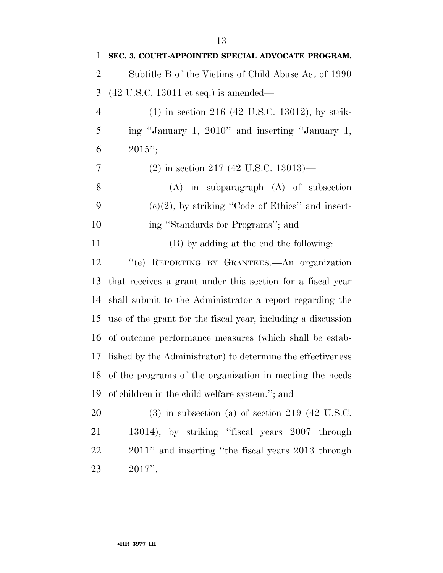| 1              | SEC. 3. COURT-APPOINTED SPECIAL ADVOCATE PROGRAM.            |
|----------------|--------------------------------------------------------------|
| 2              | Subtitle B of the Victims of Child Abuse Act of 1990         |
| 3              | $(42 \text{ U.S.C. } 13011 \text{ et seq.})$ is amended—     |
| $\overline{4}$ | $(1)$ in section 216 (42 U.S.C. 13012), by strik-            |
| 5              | ing "January 1, 2010" and inserting "January 1,              |
| 6              | $2015$ ";                                                    |
| 7              | $(2)$ in section 217 (42 U.S.C. 13013)—                      |
| 8              | $(A)$ in subparagraph $(A)$ of subsection                    |
| 9              | $(e)(2)$ , by striking "Code of Ethics" and insert-          |
| 10             | ing "Standards for Programs"; and                            |
| 11             | (B) by adding at the end the following:                      |
| 12             | "(e) REPORTING BY GRANTEES.—An organization                  |
| 13             | that receives a grant under this section for a fiscal year   |
| 14             | shall submit to the Administrator a report regarding the     |
| 15             | use of the grant for the fiscal year, including a discussion |
| 16             | of outcome performance measures (which shall be estab-       |
| 17             | lished by the Administrator) to determine the effectiveness  |
|                | 18 of the programs of the organization in meeting the needs  |
| 19             | of children in the child welfare system."; and               |
| 20             | $(3)$ in subsection (a) of section 219 (42 U.S.C.            |
| 21             | 13014), by striking "fiscal years 2007 through               |
| 22             | 2011" and inserting "the fiscal years 2013 through           |
| 23             | $2017$ ".                                                    |